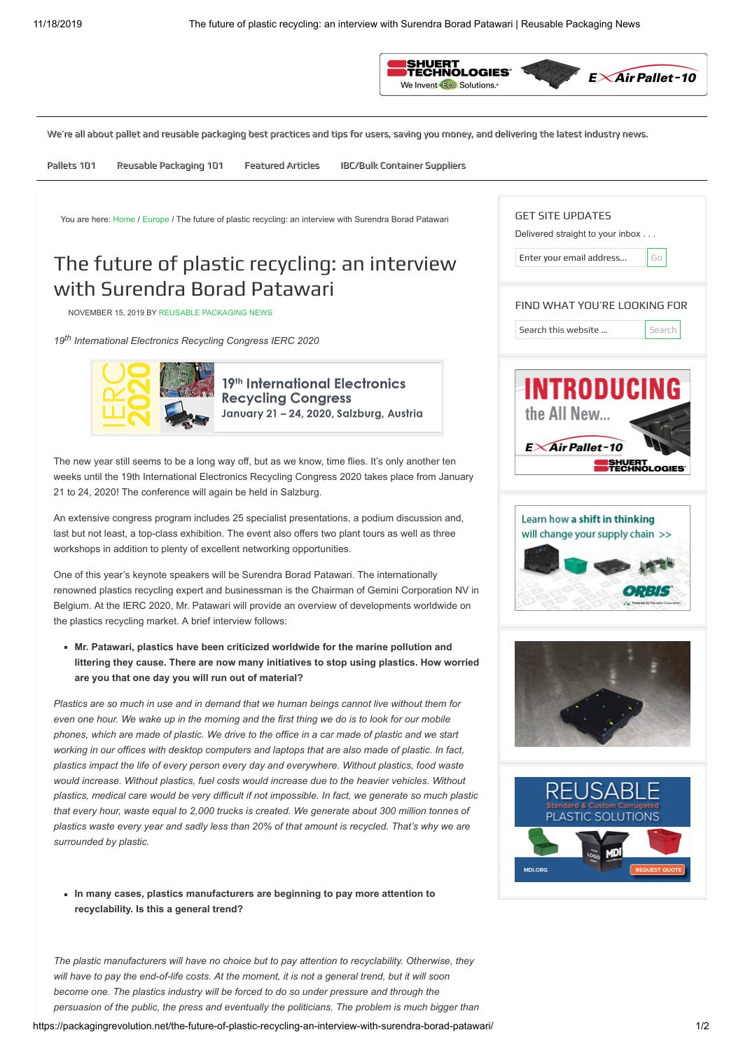

GET SITE UPDATES

Delivered straight to your inbox . . . Enter your email address... **Go** 

<span id="page-0-0"></span>We're all about pallet and reusable packaging best practices and tips for users, saving you money, and delivering the latest industry news.

Pallets 101 Reusable Packaging 101 Featured Articles IBC/Bulk Container Suppliers

You are here: [Home](https://packagingrevolution.net/) / [Europe](https://packagingrevolution.net/category/europe/) / The future of plastic recycling: an interview with Surendra Borad Patawari

# The future of plastic recycling: an interview with Surendra Borad Patawari

NOVEMBER 15, 2019 BY [REUSABLE PACKAGING NEWS](https://packagingrevolution.net/author/staff/)

*19th International Electronics Recycling Congress IERC 2020*



19th International Electronics **Recycling Congress** January 21 - 24, 2020, Salzburg, Austria

The new year still seems to be a long way off, but as we know, time flies. It's only another ten weeks until the 19th International Electronics Recycling Congress 2020 takes place from January 21 to 24, 2020! The conference will again be held in Salzburg.

An extensive congress program includes 25 specialist presentations, a podium discussion and, last but not least, a top-class exhibition. The event also offers two plant tours as well as three workshops in addition to plenty of excellent networking opportunities.

One of this year's keynote speakers will be Surendra Borad Patawari. The internationally renowned plastics recycling expert and businessman is the Chairman of Gemini Corporation NV in Belgium. At the IERC 2020, Mr. Patawari will provide an overview of developments worldwide on the plastics recycling market. A brief interview follows:

**Mr. Patawari, plastics have been criticized worldwide for the marine pollution and littering they cause. There are now many initiatives to stop using plastics. How worried are you that one day you will run out of material?**

*Plastics are so much in use and in demand that we human beings cannot live without them for even one hour. We wake up in the morning and the first thing we do is to look for our mobile phones, which are made of plastic. We drive to the office in a car made of plastic and we start working in our offices with desktop computers and laptops that are also made of plastic. In fact, plastics impact the life of every person every day and everywhere. Without plastics, food waste would increase. Without plastics, fuel costs would increase due to the heavier vehicles. Without plastics, medical care would be very difficult if not impossible. In fact, we generate so much plastic that every hour, waste equal to 2,000 trucks is created. We generate about 300 million tonnes of plastics waste every year and sadly less than 20% of that amount is recycled. That's why we are surrounded by plastic.*

**In many cases, plastics manufacturers are beginning to pay more attention to recyclability. Is this a general trend?**

*The plastic manufacturers will have no choice but to pay attention to recyclability. Otherwise, they will have to pay the end-of-life costs. At the moment, it is not a general trend, but it will soon become one. The plastics industry will be forced to do so under pressure and through the persuasion of the public, the press and eventually the politicians. The problem is much bigger than*

| https://packagingrevolution.net/the-future-of-plastic-recycling-an-interview-with-surendra-borad-patawari/ |  |  |
|------------------------------------------------------------------------------------------------------------|--|--|
|                                                                                                            |  |  |
|                                                                                                            |  |  |
|                                                                                                            |  |  |

| FIND WHAT YOU'RE LOOKING FOR<br>Search this website | Search |
|-----------------------------------------------------|--------|
| INTRODUCING                                         |        |
| the All New<br>$E \times$ Air Pallet-10             |        |
| <b>SHUERT<br/>TECHNOL</b>                           |        |
|                                                     |        |